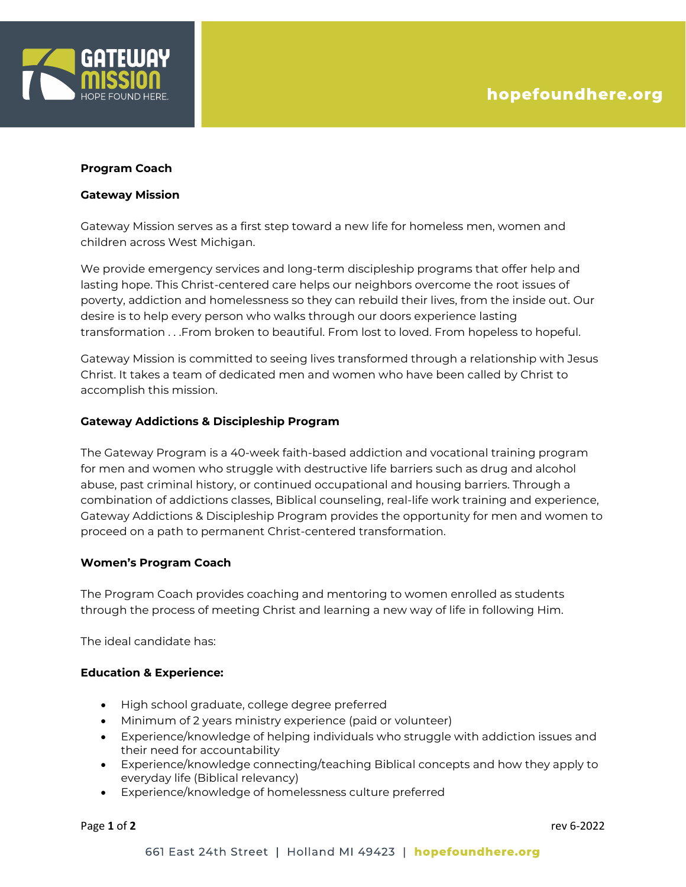

#### **Program Coach**

#### **Gateway Mission**

Gateway Mission serves as a first step toward a new life for homeless men, women and children across West Michigan.

We provide emergency services and long-term discipleship programs that offer help and lasting hope. This Christ-centered care helps our neighbors overcome the root issues of poverty, addiction and homelessness so they can rebuild their lives, from the inside out. Our desire is to help every person who walks through our doors experience lasting transformation . . .From broken to beautiful. From lost to loved. From hopeless to hopeful.

Gateway Mission is committed to seeing lives transformed through a relationship with Jesus Christ. It takes a team of dedicated men and women who have been called by Christ to accomplish this mission.

# **Gateway Addictions & Discipleship Program**

The Gateway Program is a 40-week faith-based addiction and vocational training program for men and women who struggle with destructive life barriers such as drug and alcohol abuse, past criminal history, or continued occupational and housing barriers. Through a combination of addictions classes, Biblical counseling, real-life work training and experience, Gateway Addictions & Discipleship Program provides the opportunity for men and women to proceed on a path to permanent Christ-centered transformation.

# **Women's Program Coach**

The Program Coach provides coaching and mentoring to women enrolled as students through the process of meeting Christ and learning a new way of life in following Him.

The ideal candidate has:

# **Education & Experience:**

- High school graduate, college degree preferred
- Minimum of 2 years ministry experience (paid or volunteer)
- Experience/knowledge of helping individuals who struggle with addiction issues and their need for accountability
- Experience/knowledge connecting/teaching Biblical concepts and how they apply to everyday life (Biblical relevancy)
- Experience/knowledge of homelessness culture preferred